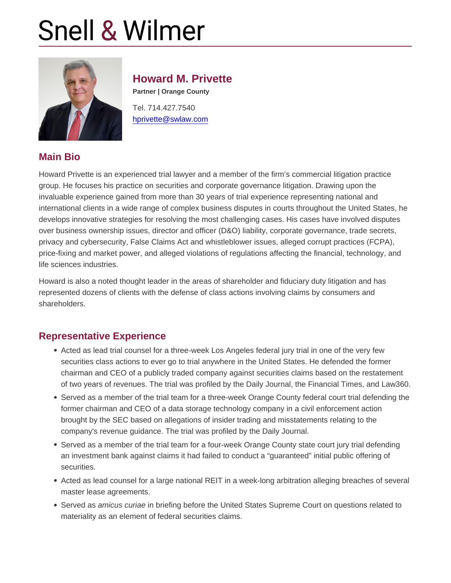#### Howard M. Privette

Partner | Orange County

Tel. 714.427.7540 [hprivette@swlaw.com](mailto:hprivette@swlaw.com)

### Main Bio

Howard Privette is an experienced trial lawyer and a member of the firm's commercial litigation practice group. He focuses his practice on securities and corporate governance litigation. Drawing upon the invaluable experience gained from more than 30 years of trial experience representing national and international clients in a wide range of complex business disputes in courts throughout the United States, he develops innovative strategies for resolving the most challenging cases. His cases have involved disputes over business ownership issues, director and officer (D&O) liability, corporate governance, trade secrets, privacy and cybersecurity, False Claims Act and whistleblower issues, alleged corrupt practices (FCPA), price-fixing and market power, and alleged violations of regulations affecting the financial, technology, and life sciences industries.

Howard is also a noted thought leader in the areas of shareholder and fiduciary duty litigation and has represented dozens of clients with the defense of class actions involving claims by consumers and shareholders.

### Representative Experience

- Acted as lead trial counsel for a three-week Los Angeles federal jury trial in one of the very few securities class actions to ever go to trial anywhere in the United States. He defended the former chairman and CEO of a publicly traded company against securities claims based on the restatement of two years of revenues. The trial was profiled by the Daily Journal, the Financial Times, and Law360.
- Served as a member of the trial team for a three-week Orange County federal court trial defending the former chairman and CEO of a data storage technology company in a civil enforcement action brought by the SEC based on allegations of insider trading and misstatements relating to the company's revenue guidance. The trial was profiled by the Daily Journal.
- Served as a member of the trial team for a four-week Orange County state court jury trial defending an investment bank against claims it had failed to conduct a "guaranteed" initial public offering of securities.
- Acted as lead counsel for a large national REIT in a week-long arbitration alleging breaches of several master lease agreements.
- Served as amicus curiae in briefing before the United States Supreme Court on questions related to materiality as an element of federal securities claims.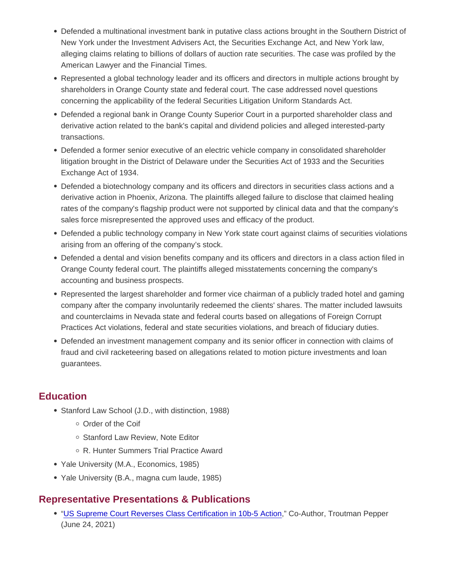- Defended a multinational investment bank in putative class actions brought in the Southern District of New York under the Investment Advisers Act, the Securities Exchange Act, and New York law, alleging claims relating to billions of dollars of auction rate securities. The case was profiled by the American Lawyer and the Financial Times.
- Represented a global technology leader and its officers and directors in multiple actions brought by shareholders in Orange County state and federal court. The case addressed novel questions concerning the applicability of the federal Securities Litigation Uniform Standards Act.
- Defended a regional bank in Orange County Superior Court in a purported shareholder class and derivative action related to the bank's capital and dividend policies and alleged interested-party transactions.
- Defended a former senior executive of an electric vehicle company in consolidated shareholder litigation brought in the District of Delaware under the Securities Act of 1933 and the Securities Exchange Act of 1934.
- Defended a biotechnology company and its officers and directors in securities class actions and a derivative action in Phoenix, Arizona. The plaintiffs alleged failure to disclose that claimed healing rates of the company's flagship product were not supported by clinical data and that the company's sales force misrepresented the approved uses and efficacy of the product.
- Defended a public technology company in New York state court against claims of securities violations arising from an offering of the company's stock.
- Defended a dental and vision benefits company and its officers and directors in a class action filed in Orange County federal court. The plaintiffs alleged misstatements concerning the company's accounting and business prospects.
- Represented the largest shareholder and former vice chairman of a publicly traded hotel and gaming company after the company involuntarily redeemed the clients' shares. The matter included lawsuits and counterclaims in Nevada state and federal courts based on allegations of Foreign Corrupt Practices Act violations, federal and state securities violations, and breach of fiduciary duties.
- Defended an investment management company and its senior officer in connection with claims of fraud and civil racketeering based on allegations related to motion picture investments and loan guarantees.

# **Education**

- Stanford Law School (J.D., with distinction, 1988)
	- Order of the Coif
	- o Stanford Law Review, Note Editor
	- R. Hunter Summers Trial Practice Award
- Yale University (M.A., Economics, 1985)
- Yale University (B.A., magna cum laude, 1985)

### Representative Presentations & Publications

["US Supreme Court Reverses Class Certification in 10b-5 Action,](https://www.troutman.com/insights/us-supreme-court-reverses-class-certification-in-10b-5-action.html)" Co-Author, Troutman Pepper (June 24, 2021)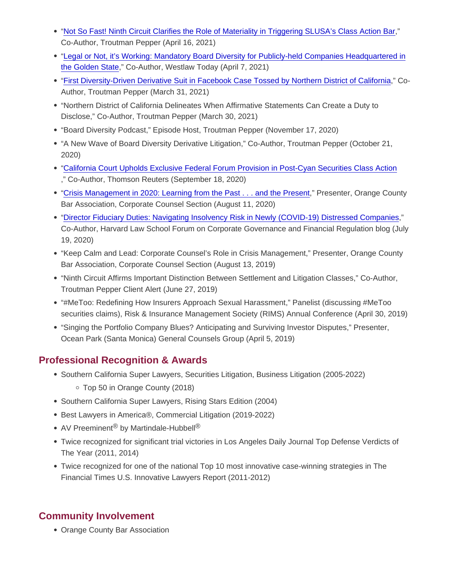- ["Not So Fast! Ninth Circuit Clarifies the Role of Materiality in Triggering SLUSA's Class Action Bar,](https://www.troutman.com/insights/not-so-fast-ninth-circuit-clarifies-the-role-of-materiality-in-triggering-slusas-class-action-bar.html)" Co-Author, Troutman Pepper (April 16, 2021)
- ["Legal or Not, it's Working: Mandatory Board Diversity for Publicly-held Companies Headquartered in](https://today.westlaw.com/Document/Iae475fbc976b11ebbea4f0dc9fb69570/View/FullText.html?transitionType=CategoryPageItem&contextData=(sc.Default)&firstPage=true) [the Golden State,](https://today.westlaw.com/Document/Iae475fbc976b11ebbea4f0dc9fb69570/View/FullText.html?transitionType=CategoryPageItem&contextData=(sc.Default)&firstPage=true)" Co-Author, Westlaw Today (April 7, 2021)
- ["First Diversity-Driven Derivative Suit in Facebook Case Tossed by Northern District of California,](https://www.troutman.com/insights/first-diversity-driven-derivative-suit-in-facebook-case-tossed-by-northern-district-of-california.html)" Co-Author, Troutman Pepper (March 31, 2021)
- "Northern District of California Delineates When Affirmative Statements Can Create a Duty to Disclose," Co-Author, Troutman Pepper (March 30, 2021)
- "Board Diversity Podcast," Episode Host, Troutman Pepper (November 17, 2020)
- "A New Wave of Board Diversity Derivative Litigation," Co-Author, Troutman Pepper (October 21, 2020)
- ["California Court Upholds Exclusive Federal Forum Provision in Post-Cyan Securities Class Action](https://www.troutman.com/images/content/2/4/v3/248562/PalmerP-PrivetteH-VillarP-BurdickS-Westlaw-091820.pdf) ," Co-Author, Thomson Reuters (September 18, 2020)
- ["Crisis Management in 2020: Learning from the Past . . . and the Present,](http://www.ocbar.org/Portals/0/pdf/section_pdfs/corporate_counsel/meeting_materials/2020/Aug2020.pdf)" Presenter, Orange County Bar Association, Corporate Counsel Section (August 11, 2020)
- ["Director Fiduciary Duties: Navigating Insolvency Risk in Newly \(COVID-19\) Distressed Companies,](https://corpgov.law.harvard.edu/2020/07/19/navigating-insolvency-risk-in-covid-19-distressed-companies/)" Co-Author, Harvard Law School Forum on Corporate Governance and Financial Regulation blog (July 19, 2020)
- "Keep Calm and Lead: Corporate Counsel's Role in Crisis Management," Presenter, Orange County Bar Association, Corporate Counsel Section (August 13, 2019)
- "Ninth Circuit Affirms Important Distinction Between Settlement and Litigation Classes," Co-Author, Troutman Pepper Client Alert (June 27, 2019)
- "#MeToo: Redefining How Insurers Approach Sexual Harassment," Panelist (discussing #MeToo securities claims), Risk & Insurance Management Society (RIMS) Annual Conference (April 30, 2019)
- "Singing the Portfolio Company Blues? Anticipating and Surviving Investor Disputes," Presenter, Ocean Park (Santa Monica) General Counsels Group (April 5, 2019)

### Professional Recognition & Awards

- **Southern California Super Lawyers, Securities Litigation, Business Litigation (2005-2022)** Top 50 in Orange County (2018)
	-
- Southern California Super Lawyers, Rising Stars Edition (2004)
- Best Lawyers in America®, Commercial Litigation (2019-2022)
- AV Preeminent<sup>®</sup> by Martindale-Hubbell<sup>®</sup>
- Twice recognized for significant trial victories in Los Angeles Daily Journal Top Defense Verdicts of The Year (2011, 2014)
- Twice recognized for one of the national Top 10 most innovative case-winning strategies in The Financial Times U.S. Innovative Lawyers Report (2011-2012)

# Community Involvement

Orange County Bar Association